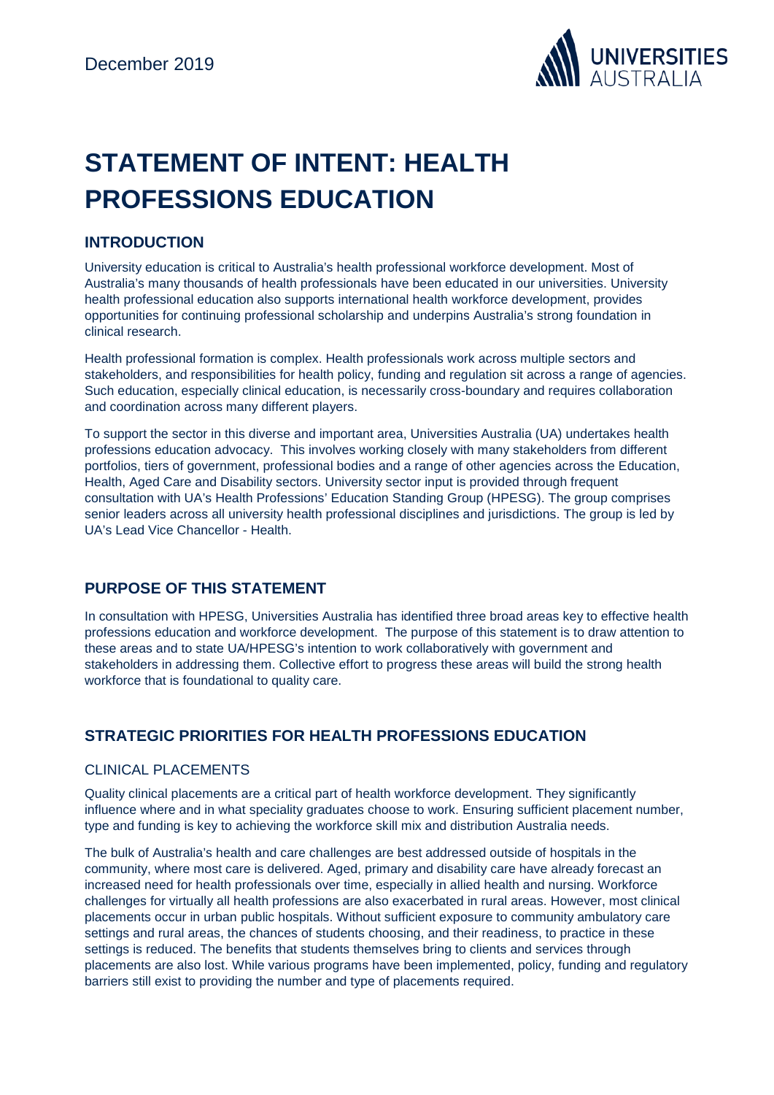

# **STATEMENT OF INTENT: HEALTH PROFESSIONS EDUCATION**

## **INTRODUCTION**

University education is critical to Australia's health professional workforce development. Most of Australia's many thousands of health professionals have been educated in our universities. University health professional education also supports international health workforce development, provides opportunities for continuing professional scholarship and underpins Australia's strong foundation in clinical research.

Health professional formation is complex. Health professionals work across multiple sectors and stakeholders, and responsibilities for health policy, funding and regulation sit across a range of agencies. Such education, especially clinical education, is necessarily cross-boundary and requires collaboration and coordination across many different players.

To support the sector in this diverse and important area, Universities Australia (UA) undertakes health professions education advocacy. This involves working closely with many stakeholders from different portfolios, tiers of government, professional bodies and a range of other agencies across the Education, Health, Aged Care and Disability sectors. University sector input is provided through frequent consultation with UA's Health Professions' Education Standing Group (HPESG). The group comprises senior leaders across all university health professional disciplines and jurisdictions. The group is led by UA's Lead Vice Chancellor - Health.

## **PURPOSE OF THIS STATEMENT**

In consultation with HPESG, Universities Australia has identified three broad areas key to effective health professions education and workforce development. The purpose of this statement is to draw attention to these areas and to state UA/HPESG's intention to work collaboratively with government and stakeholders in addressing them. Collective effort to progress these areas will build the strong health workforce that is foundational to quality care.

## **STRATEGIC PRIORITIES FOR HEALTH PROFESSIONS EDUCATION**

#### CLINICAL PLACEMENTS

Quality clinical placements are a critical part of health workforce development. They significantly influence where and in what speciality graduates choose to work. Ensuring sufficient placement number, type and funding is key to achieving the workforce skill mix and distribution Australia needs.

The bulk of Australia's health and care challenges are best addressed outside of hospitals in the community, where most care is delivered. Aged, primary and disability care have already forecast an increased need for health professionals over time, especially in allied health and nursing. Workforce challenges for virtually all health professions are also exacerbated in rural areas. However, most clinical placements occur in urban public hospitals. Without sufficient exposure to community ambulatory care settings and rural areas, the chances of students choosing, and their readiness, to practice in these settings is reduced. The benefits that students themselves bring to clients and services through placements are also lost. While various programs have been implemented, policy, funding and regulatory barriers still exist to providing the number and type of placements required.